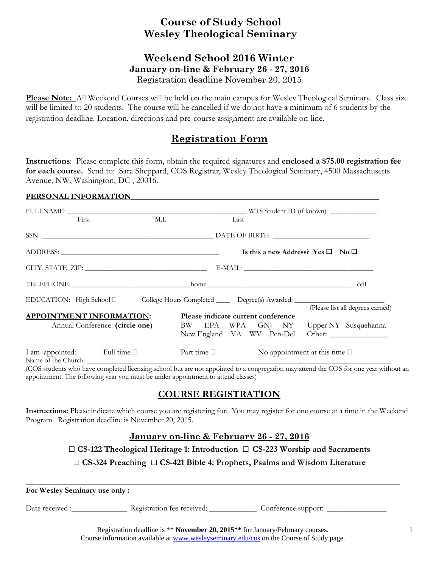# **Course of Study School Wesley Theological Seminary**

### **Weekend School 2016 Winter January on-line & February 26 - 27, 2016**  Registration deadline November 20, 2015

**Please Note:** All Weekend Courses will be held on the main campus for Wesley Theological Seminary. Class size will be limited to 20 students. The course will be cancelled if we do not have a minimum of 6 students by the registration deadline. Location, directions and pre-course assignment are available on-line.

## **Registration Form**

**Instructions**: Please complete this form, obtain the required signatures and **enclosed a \$75.00 registration fee for each course.** Send to: Sara Sheppard, COS Registrar, Wesley Theological Seminary, 4500 Massachusetts Avenue, NW, Washington, DC , 20016.

#### PERSONAL INFORMATION

| First                                                                                               | M.I. | Last                               |  |                                                   |                                                                            |
|-----------------------------------------------------------------------------------------------------|------|------------------------------------|--|---------------------------------------------------|----------------------------------------------------------------------------|
|                                                                                                     |      |                                    |  |                                                   |                                                                            |
|                                                                                                     |      |                                    |  | Is this a new Address? Yes $\square$ No $\square$ |                                                                            |
|                                                                                                     |      |                                    |  |                                                   |                                                                            |
|                                                                                                     |      |                                    |  |                                                   |                                                                            |
| EDUCATION: High School □ College Hours Completed _______ Degree(s) Awarded: _______________________ |      |                                    |  |                                                   |                                                                            |
|                                                                                                     |      |                                    |  |                                                   | (Please list all degrees earned)                                           |
| <b>APPOINTMENT INFORMATION:</b><br>Annual Conference: (circle one)                                  |      | Please indicate current conference |  |                                                   | BW EPA WPA GNJ NY Upper NY Susquehanna<br>New England VA WV Pen-Del Other: |
| I am appointed: Full time                                                                           |      | Part time $\Box$                   |  | No appointment at this time $\square$             |                                                                            |

(COS students who have completed licensing school but are not appointed to a congregation may attend the COS for one year without an appointment. The following year you must be under appointment to attend classes)

## **COURSE REGISTRATION**

**Instructions:** Please indicate which course you are registering for. You may register for one course at a time in the Weekend Program. Registration deadline is November 20, 2015.

### **January on-line & February 26 - 27, 2016**

□ **CS-122 Theological Heritage 1: Introduction** □ **CS-223 Worship and Sacraments**

□ **CS-324 Preaching** □ **CS-421 Bible 4: Prophets, Psalms and Wisdom Literature**

**\_\_\_\_\_\_\_\_\_\_\_\_\_\_\_\_\_\_\_\_\_\_\_\_\_\_\_\_\_\_\_\_\_\_\_\_\_\_\_\_\_\_\_\_\_\_\_\_\_\_\_\_\_\_\_\_\_\_\_\_\_\_\_\_\_\_\_\_\_\_\_\_\_\_\_\_\_\_\_\_\_\_\_\_\_\_\_\_\_\_\_\_\_\_\_** 

#### **For Wesley Seminary use only :**

Date received :\_\_\_\_\_\_\_\_\_\_\_\_\_\_\_\_\_ Registration fee received: \_\_\_\_\_\_\_\_\_\_\_\_\_ Conference support: \_\_\_\_\_\_\_\_\_\_\_\_

Registration deadline is \*\* **November 20, 2015\*\*** for January/February courses. Course information available at www.wesleyseminary.edu/cos on the Course of Study page.